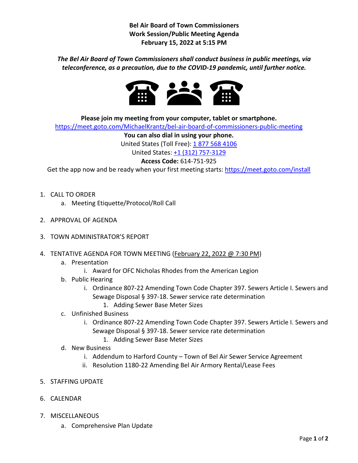**Bel Air Board of Town Commissioners Work Session/Public Meeting Agenda February 15, 2022 at 5:15 PM**

## *The Bel Air Board of Town Commissioners shall conduct business in public meetings, via teleconference, as a precaution, due to the COVID-19 pandemic, until further notice.*



**Please join my meeting from your computer, tablet or smartphone.**

<https://meet.goto.com/MichaelKrantz/bel-air-board-of-commissioners-public-meeting>

**You can also dial in using your phone.** 

United States (Toll Free): [1 877 568 4106](tel:+18775684106,,614751925)

United States: [+1 \(312\) 757-3129](tel:+13127573129,,614751925)

## **Access Code:** 614-751-925

Get the app now and be ready when your first meeting starts[: https://meet.goto.com/install](https://meet.goto.com/install)

- 1. CALL TO ORDER
	- a. Meeting Etiquette/Protocol/Roll Call
- 2. APPROVAL OF AGENDA
- 3. TOWN ADMINISTRATOR'S REPORT
- 4. TENTATIVE AGENDA FOR TOWN MEETING (February 22, 2022 @ 7:30 PM)
	- a. Presentation
		- i. Award for OFC Nicholas Rhodes from the American Legion
	- b. Public Hearing
		- i. Ordinance 807-22 Amending Town Code Chapter 397. Sewers Article I. Sewers and Sewage Disposal § 397-18. Sewer service rate determination 1. Adding Sewer Base Meter Sizes
	- c. Unfinished Business
		- i. Ordinance 807-22 Amending Town Code Chapter 397. Sewers Article I. Sewers and Sewage Disposal § 397-18. Sewer service rate determination
			- 1. Adding Sewer Base Meter Sizes
	- d. New Business
		- i. Addendum to Harford County Town of Bel Air Sewer Service Agreement
		- ii. Resolution 1180-22 Amending Bel Air Armory Rental/Lease Fees
- 5. STAFFING UPDATE
- 6. CALENDAR
- 7. MISCELLANEOUS
	- a. Comprehensive Plan Update